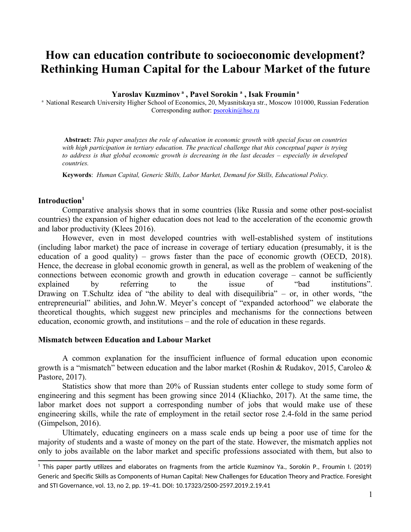# **How can education contribute to socioeconomic development? Rethinking Human Capital for the Labour Market of the future**

**Yaroslav Kuzminov<sup>a</sup> , Pavel Sorokin <sup>a</sup> , Isak Froumin<sup>a</sup>**

<sup>a</sup> National Research University Higher School of Economics, 20, Myasnitskaya str., Moscow 101000, Russian Federation Corresponding author: [psorokin@hse.ru](mailto:psorokin@hse.ru)

 **Abstract:** *This paper analyzes the role of education in economic growth with special focus on countries with high participation in tertiary education. The practical challenge that this conceptual paper is trying to address is that global economic growth is decreasing in the last decades – especially in developed countries.*

**Keywords**: *Human Capital, Generic Skills, Labor Market, Demand for Skills, Educational Policy.*

#### **Introduction[1](#page-0-0)**

Comparative analysis shows that in some countries (like Russia and some other post-socialist countries) the expansion of higher education does not lead to the acceleration of the economic growth and labor productivity (Klees 2016).

However, even in most developed countries with well-established system of institutions (including labor market) the pace of increase in coverage of tertiary education (presumably, it is the education of a good quality) – grows faster than the pace of economic growth (OECD, 2018). Hence, the decrease in global economic growth in general, as well as the problem of weakening of the connections between economic growth and growth in education coverage – cannot be sufficiently<br>explained by referring to the issue of "bad institutions". explained by referring to the issue of "bad institutions". Drawing on T.Schultz idea of "the ability to deal with disequilibria" – or, in other words, "the entrepreneurial" abilities, and John.W. Meyer's concept of "expanded actorhood" we elaborate the theoretical thoughts, which suggest new principles and mechanisms for the connections between education, economic growth, and institutions – and the role of education in these regards.

### **Mismatch between Education and Labour Market**

A common explanation for the insufficient influence of formal education upon economic growth is a "mismatch" between education and the labor market (Roshin & Rudakov, 2015, Caroleo  $\&$ Pastore, 2017).

Statistics show that more than 20% of Russian students enter college to study some form of engineering and this segment has been growing since 2014 (Kliachko, 2017). At the same time, the labor market does not support a corresponding number of jobs that would make use of these engineering skills, while the rate of employment in the retail sector rose 2.4-fold in the same period (Gimpelson, 2016).

Ultimately, educating engineers on a mass scale ends up being a poor use of time for the majority of students and a waste of money on the part of the state. However, the mismatch applies not only to jobs available on the labor market and specific professions associated with them, but also to

<span id="page-0-0"></span> $^{\rm 1}$  This paper partly utilizes and elaborates on fragments from the article Kuzminov Ya., Sorokin P., Froumin I. (2019) Generic and Specific Skills as Components of Human Capital: New Challenges for Education Theory and Practice. Foresight and STI Governance, vol. 13, no 2, pp. 19–41. DOI: 10.17323/2500-2597.2019.2.19.41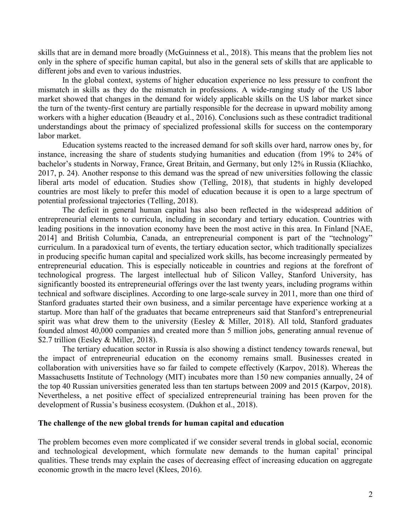skills that are in demand more broadly (McGuinness et al., 2018). This means that the problem lies not only in the sphere of specific human capital, but also in the general sets of skills that are applicable to different jobs and even to various industries.

In the global context, systems of higher education experience no less pressure to confront the mismatch in skills as they do the mismatch in professions. A wide-ranging study of the US labor market showed that changes in the demand for widely applicable skills on the US labor market since the turn of the twenty-first century are partially responsible for the decrease in upward mobility among workers with a higher education (Beaudry et al., 2016). Conclusions such as these contradict traditional understandings about the primacy of specialized professional skills for success on the contemporary labor market.

Education systems reacted to the increased demand for soft skills over hard, narrow ones by, for instance, increasing the share of students studying humanities and education (from 19% to 24% of bachelor's students in Norway, France, Great Britain, and Germany, but only 12% in Russia (Kliachko, 2017, p. 24). Another response to this demand was the spread of new universities following the classic liberal arts model of education. Studies show (Telling, 2018), that students in highly developed countries are most likely to prefer this model of education because it is open to a large spectrum of potential professional trajectories (Telling, 2018).

The deficit in general human capital has also been reflected in the widespread addition of entrepreneurial elements to curricula, including in secondary and tertiary education. Countries with leading positions in the innovation economy have been the most active in this area. In Finland [NAE, 2014] and British Columbia, Canada, an entrepreneurial component is part of the "technology" curriculum. In a paradoxical turn of events, the tertiary education sector, which traditionally specializes in producing specific human capital and specialized work skills, has become increasingly permeated by entrepreneurial education. This is especially noticeable in countries and regions at the forefront of technological progress. The largest intellectual hub of Silicon Valley, Stanford University, has significantly boosted its entrepreneurial offerings over the last twenty years, including programs within technical and software disciplines. According to one large-scale survey in 2011, more than one third of Stanford graduates started their own business, and a similar percentage have experience working at a startup. More than half of the graduates that became entrepreneurs said that Stanford's entrepreneurial spirit was what drew them to the university (Eesley & Miller, 2018). All told, Stanford graduates founded almost 40,000 companies and created more than 5 million jobs, generating annual revenue of \$2.7 trillion (Eesley & Miller, 2018).

The tertiary education sector in Russia is also showing a distinct tendency towards renewal, but the impact of entrepreneurial education on the economy remains small. Businesses created in collaboration with universities have so far failed to compete effectively (Karpov, 2018). Whereas the Massachusetts Institute of Technology (MIT) incubates more than 150 new companies annually, 24 of the top 40 Russian universities generated less than ten startups between 2009 and 2015 (Karpov, 2018). Nevertheless, a net positive effect of specialized entrepreneurial training has been proven for the development of Russia's business ecosystem. (Dukhon et al., 2018).

#### **The challenge of the new global trends for human capital and education**

The problem becomes even more complicated if we consider several trends in global social, economic and technological development, which formulate new demands to the human capital' principal qualities. These trends may explain the cases of decreasing effect of increasing education on aggregate economic growth in the macro level (Klees, 2016).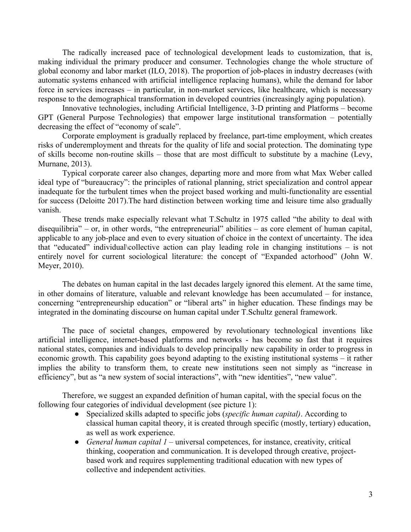The radically increased pace of technological development leads to customization, that is, making individual the primary producer and consumer. Technologies change the whole structure of global economy and labor market (ILO, 2018). The proportion of job-places in industry decreases (with automatic systems enhanced with artificial intelligence replacing humans), while the demand for labor force in services increases – in particular, in non-market services, like healthcare, which is necessary response to the demographical transformation in developed countries (increasingly aging population).

Innovative technologies, including Artificial Intelligence, 3-D printing and Platforms – become GPT (General Purpose Technologies) that empower large institutional transformation – potentially decreasing the effect of "economy of scale".

Corporate employment is gradually replaced by freelance, part-time employment, which creates risks of underemployment and threats for the quality of life and social protection. The dominating type of skills become non-routine skills – those that are most difficult to substitute by a machine (Levy, Murnane, 2013).

Typical corporate career also changes, departing more and more from what Max Weber called ideal type of "bureaucracy": the principles of rational planning, strict specialization and control appear inadequate for the turbulent times when the project based working and multi-functionality are essential for success (Deloitte 2017).The hard distinction between working time and leisure time also gradually vanish.

These trends make especially relevant what T.Schultz in 1975 called "the ability to deal with disequilibria" – or, in other words, "the entrepreneurial" abilities – as core element of human capital, applicable to any job-place and even to every situation of choice in the context of uncertainty. The idea that "educated" individual\collective action can play leading role in changing institutions – is not entirely novel for current sociological literature: the concept of "Expanded actorhood" (John W. Meyer, 2010).

The debates on human capital in the last decades largely ignored this element. At the same time, in other domains of literature, valuable and relevant knowledge has been accumulated – for instance, concerning "entrepreneurship education" or "liberal arts" in higher education. These findings may be integrated in the dominating discourse on human capital under T.Schultz general framework.

The pace of societal changes, empowered by revolutionary technological inventions like artificial intelligence, internet-based platforms and networks - has become so fast that it requires national states, companies and individuals to develop principally new capability in order to progress in economic growth. This capability goes beyond adapting to the existing institutional systems – it rather implies the ability to transform them, to create new institutions seen not simply as "increase in efficiency", but as "a new system of social interactions", with "new identities", "new value".

Therefore, we suggest an expanded definition of human capital, with the special focus on the following four categories of individual development (see picture 1):

- Specialized skills adapted to specific jobs (*specific human capital)*. According to classical human capital theory, it is created through specific (mostly, tertiary) education, as well as work experience.
- *General human capital 1* universal competences, for instance, creativity, critical thinking, cooperation and communication. It is developed through creative, projectbased work and requires supplementing traditional education with new types of collective and independent activities.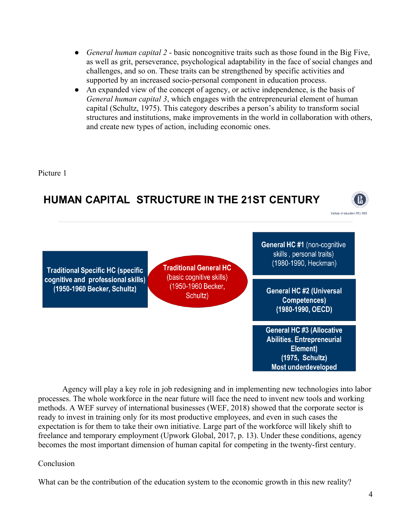- *General human capital 2* basic noncognitive traits such as those found in the Big Five, as well as grit, perseverance, psychological adaptability in the face of social changes and challenges, and so on. These traits can be strengthened by specific activities and supported by an increased socio-personal component in education process.
- An expanded view of the concept of agency, or active independence, is the basis of *General human capital 3*, which engages with the entrepreneurial element of human capital (Schultz, 1975). This category describes a person's ability to transform social structures and institutions, make improvements in the world in collaboration with others, and create new types of action, including economic ones.

Picture 1



Agency will play a key role in job redesigning and in implementing new technologies into labor processes. The whole workforce in the near future will face the need to invent new tools and working methods. A WEF survey of international businesses (WEF, 2018) showed that the corporate sector is ready to invest in training only for its most productive employees, and even in such cases the expectation is for them to take their own initiative. Large part of the workforce will likely shift to freelance and temporary employment (Upwork Global, 2017, p. 13). Under these conditions, agency becomes the most important dimension of human capital for competing in the twenty-first century.

## Conclusion

What can be the contribution of the education system to the economic growth in this new reality?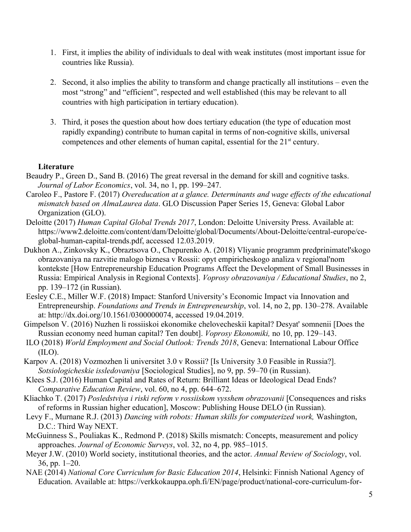- 1. First, it implies the ability of individuals to deal with weak institutes (most important issue for countries like Russia).
- 2. Second, it also implies the ability to transform and change practically all institutions even the most "strong" and "efficient", respected and well established (this may be relevant to all countries with high participation in tertiary education).
- 3. Third, it poses the question about how does tertiary education (the type of education most rapidly expanding) contribute to human capital in terms of non-cognitive skills, universal competences and other elements of human capital, essential for the  $21<sup>st</sup>$  century.

## **Literature**

- Beaudry P., Green D., Sand B. (2016) The great reversal in the demand for skill and cognitive tasks. *Journal of Labor Economics*, vol. 34, no 1, pp. 199–247.
- Caroleo F., Pastore F. (2017) *Overeducation at a glance. Determinants and wage effects of the educational mismatch based on AlmaLaurea data*. GLO Discussion Paper Series 15, Geneva: Global Labor Organization (GLO).
- Deloitte (2017) *Human Capital Global Trends 2017*, London: Deloitte University Press. Available at: https://www2.deloitte.com/content/dam/Deloitte/global/Documents/About-Deloitte/central-europe/ceglobal-human-capital-trends.pdf, accessed 12.03.2019.
- Dukhon A., Zinkovsky K., Obraztsova O., Chepurenko A. (2018) Vliyanie programm predprinimatel'skogo obrazovaniya na razvitie malogo biznesa v Rossii: opyt empiricheskogo analiza v regional'nom kontekste [How Entrepreneurship Education Programs Affect the Development of Small Businesses in Russia: Empirical Analysis in Regional Contexts]. *Voprosy obrazovaniya / Educational Studies*, no 2, pp. 139–172 (in Russian).
- Eesley C.E., Miller W.F. (2018) Impact: Stanford University's Economic Impact via Innovation and Entrepreneurship. *Foundations and Trends in Entrepreneurship*, vol. 14, no 2, pp. 130–278. Available at: http://dx.doi.org/10.1561/0300000074, accessed 19.04.2019.

Gimpelson V. (2016) Nuzhen li rossiiskoi ekonomike chelovecheskii kapital? Desyat' somnenii [Does the Russian economy need human capital? Ten doubt]. *Voprosy Ekonomiki,* no 10, pp. 129–143.

- ILO (2018) *World Employment and Social Outlook: Trends 2018*, Geneva: International Labour Office  $(II.0)$ .
- Karpov A. (2018) Vozmozhen li universitet 3.0 v Rossii? [Is University 3.0 Feasible in Russia?]. *Sotsiologicheskie issledovaniya* [Sociological Studies], no 9, pp. 59–70 (in Russian).
- Klees S.J. (2016) Human Capital and Rates of Return: Brilliant Ideas or Ideological Dead Ends? *Comparative Education Review*, vol. 60, no 4, pp. 644–672.
- Kliachko T. (2017) *Posledstviya i riski reform v rossiiskom vysshem obrazovanii* [Consequences and risks of reforms in Russian higher education], Moscow: Publishing House DELO (in Russian).
- Levy F., Murnane R.J. (2013) *Dancing with robots: Human skills for computerized work,* Washington, D.C.: Third Way NEXT.
- McGuinness S., Pouliakas K., Redmond P. (2018) Skills mismatch: Concepts, measurement and policy approaches. *Journal of Economic Surveys*, vol. 32, no 4, pp. 985–1015.
- Meyer J.W. (2010) World society, institutional theories, and the actor. *Annual Review of Sociology*, vol. 36, pp. 1–20.
- NAE (2014) *National Core Curriculum for Basic Education 2014*, Helsinki: Finnish National Agency of Education. Available at: https://verkkokauppa.oph.fi/EN/page/product/national-core-curriculum-for-